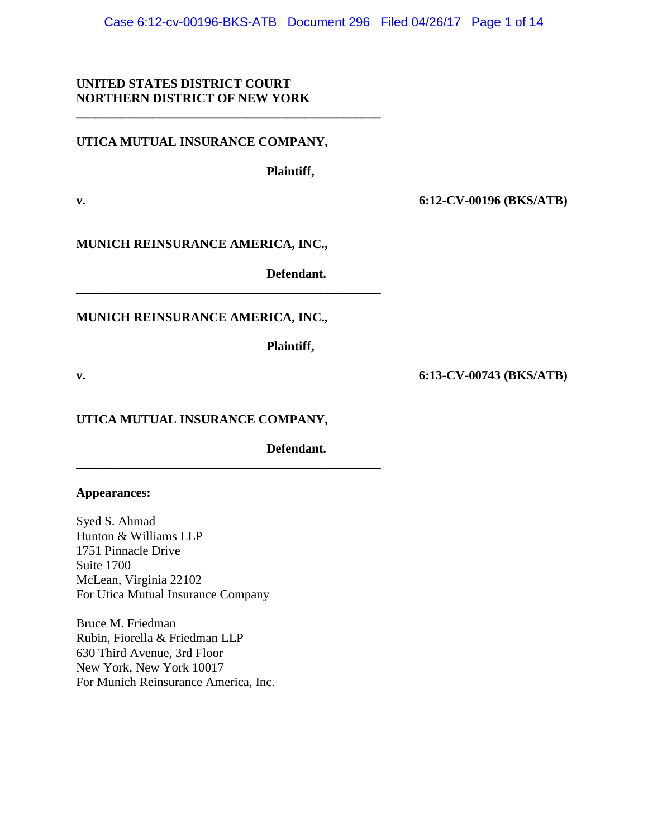Case 6:12-cv-00196-BKS-ATB Document 296 Filed 04/26/17 Page 1 of 14

# **UNITED STATES DISTRICT COURT NORTHERN DISTRICT OF NEW YORK**

# **UTICA MUTUAL INSURANCE COMPANY,**

**\_\_\_\_\_\_\_\_\_\_\_\_\_\_\_\_\_\_\_\_\_\_\_\_\_\_\_\_\_\_\_\_\_\_\_\_\_\_\_\_\_\_\_\_\_\_\_\_**

**Plaintiff,**

**v. 6:12-CV-00196 (BKS/ATB)**

**MUNICH REINSURANCE AMERICA, INC.,**

**Defendant.**

# **MUNICH REINSURANCE AMERICA, INC.,**

**\_\_\_\_\_\_\_\_\_\_\_\_\_\_\_\_\_\_\_\_\_\_\_\_\_\_\_\_\_\_\_\_\_\_\_\_\_\_\_\_\_\_\_\_\_\_\_\_**

**Plaintiff,**

# **UTICA MUTUAL INSURANCE COMPANY,**

**\_\_\_\_\_\_\_\_\_\_\_\_\_\_\_\_\_\_\_\_\_\_\_\_\_\_\_\_\_\_\_\_\_\_\_\_\_\_\_\_\_\_\_\_\_\_\_\_**

**Defendant.**

## **Appearances:**

Syed S. Ahmad Hunton & Williams LLP 1751 Pinnacle Drive Suite 1700 McLean, Virginia 22102 For Utica Mutual Insurance Company

Bruce M. Friedman Rubin, Fiorella & Friedman LLP 630 Third Avenue, 3rd Floor New York, New York 10017 For Munich Reinsurance America, Inc.

**v. 6:13-CV-00743 (BKS/ATB)**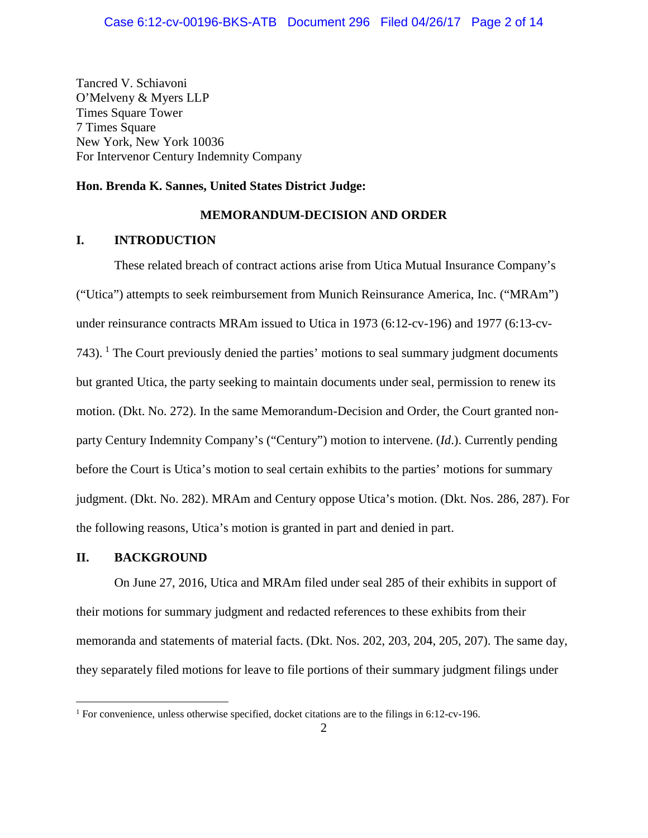Tancred V. Schiavoni O'Melveny & Myers LLP Times Square Tower 7 Times Square New York, New York 10036 For Intervenor Century Indemnity Company

## **Hon. Brenda K. Sannes, United States District Judge:**

## **MEMORANDUM-DECISION AND ORDER**

## **I. INTRODUCTION**

These related breach of contract actions arise from Utica Mutual Insurance Company's ("Utica") attempts to seek reimbursement from Munich Reinsurance America, Inc. ("MRAm") under reinsurance contracts MRAm issued to Utica in 1973 (6:12-cv-196) and 1977 (6:13-cv-743).  $\frac{1}{1}$  The Court previously denied the parties' motions to seal summary judgment documents but granted Utica, the party seeking to maintain documents under seal, permission to renew its motion. (Dkt. No. 272). In the same Memorandum-Decision and Order, the Court granted nonparty Century Indemnity Company's ("Century") motion to intervene. (*Id*.). Currently pending before the Court is Utica's motion to seal certain exhibits to the parties' motions for summary judgment. (Dkt. No. 282). MRAm and Century oppose Utica's motion. (Dkt. Nos. 286, 287). For the following reasons, Utica's motion is granted in part and denied in part.

## **II. BACKGROUND**

On June 27, 2016, Utica and MRAm filed under seal 285 of their exhibits in support of their motions for summary judgment and redacted references to these exhibits from their memoranda and statements of material facts. (Dkt. Nos. 202, 203, 204, 205, 207). The same day, they separately filed motions for leave to file portions of their summary judgment filings under

<sup>&</sup>lt;sup>1</sup> For convenience, unless otherwise specified, docket citations are to the filings in 6:12-cv-196.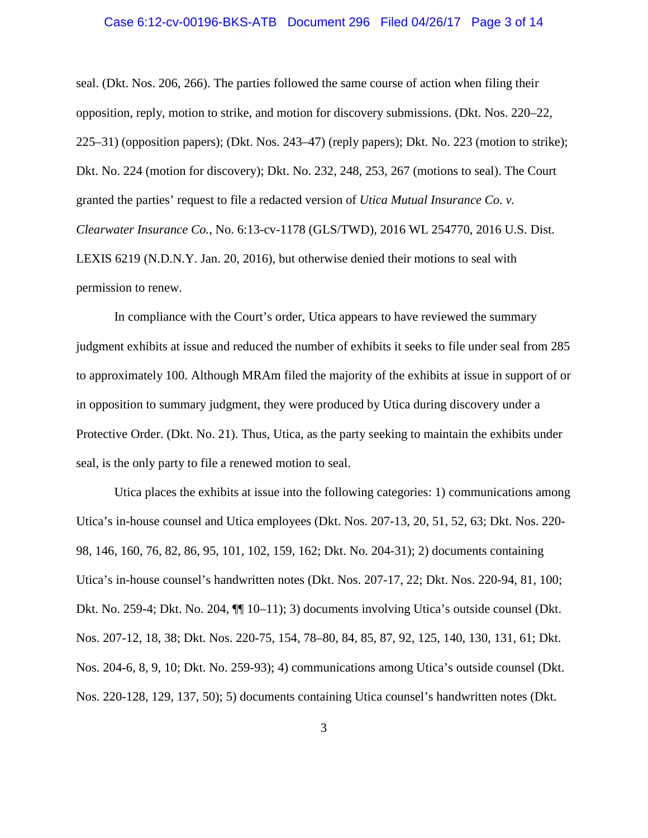#### Case 6:12-cv-00196-BKS-ATB Document 296 Filed 04/26/17 Page 3 of 14

seal. (Dkt. Nos. 206, 266). The parties followed the same course of action when filing their opposition, reply, motion to strike, and motion for discovery submissions. (Dkt. Nos. 220–22, 225–31) (opposition papers); (Dkt. Nos. 243–47) (reply papers); Dkt. No. 223 (motion to strike); Dkt. No. 224 (motion for discovery); Dkt. No. 232, 248, 253, 267 (motions to seal). The Court granted the parties' request to file a redacted version of *Utica Mutual Insurance Co. v. Clearwater Insurance Co.*, No. 6:13-cv-1178 (GLS/TWD), 2016 WL 254770, 2016 U.S. Dist. LEXIS 6219 (N.D.N.Y. Jan. 20, 2016), but otherwise denied their motions to seal with permission to renew.

In compliance with the Court's order, Utica appears to have reviewed the summary judgment exhibits at issue and reduced the number of exhibits it seeks to file under seal from 285 to approximately 100. Although MRAm filed the majority of the exhibits at issue in support of or in opposition to summary judgment, they were produced by Utica during discovery under a Protective Order. (Dkt. No. 21). Thus, Utica, as the party seeking to maintain the exhibits under seal, is the only party to file a renewed motion to seal.

Utica places the exhibits at issue into the following categories: 1) communications among Utica's in-house counsel and Utica employees (Dkt. Nos. 207-13, 20, 51, 52, 63; Dkt. Nos. 220- 98, 146, 160, 76, 82, 86, 95, 101, 102, 159, 162; Dkt. No. 204-31); 2) documents containing Utica's in-house counsel's handwritten notes (Dkt. Nos. 207-17, 22; Dkt. Nos. 220-94, 81, 100; Dkt. No. 259-4; Dkt. No. 204, ¶¶ 10–11); 3) documents involving Utica's outside counsel (Dkt. Nos. 207-12, 18, 38; Dkt. Nos. 220-75, 154, 78–80, 84, 85, 87, 92, 125, 140, 130, 131, 61; Dkt. Nos. 204-6, 8, 9, 10; Dkt. No. 259-93); 4) communications among Utica's outside counsel (Dkt. Nos. 220-128, 129, 137, 50); 5) documents containing Utica counsel's handwritten notes (Dkt.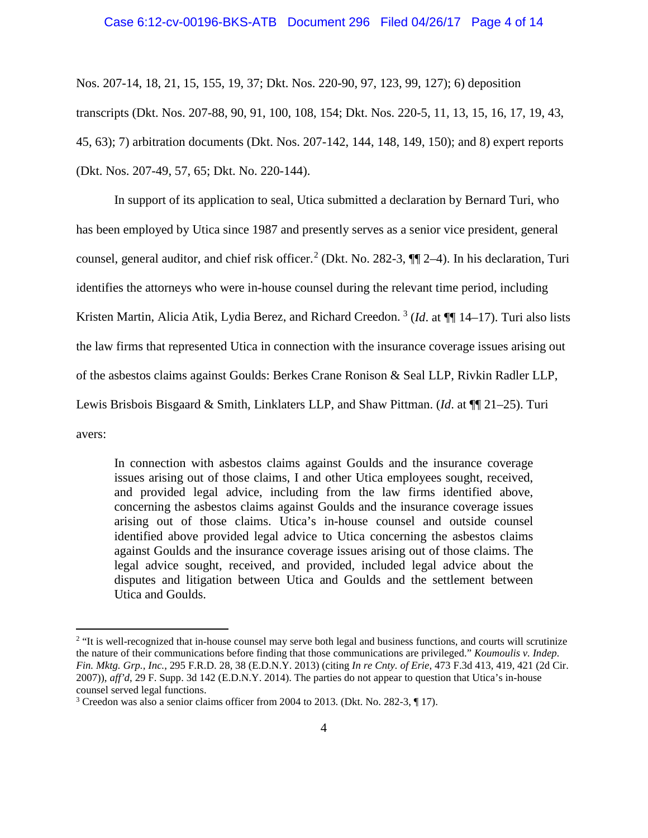#### Case 6:12-cv-00196-BKS-ATB Document 296 Filed 04/26/17 Page 4 of 14

Nos. 207-14, 18, 21, 15, 155, 19, 37; Dkt. Nos. 220-90, 97, 123, 99, 127); 6) deposition transcripts (Dkt. Nos. 207-88, 90, 91, 100, 108, 154; Dkt. Nos. 220-5, 11, 13, 15, 16, 17, 19, 43, 45, 63); 7) arbitration documents (Dkt. Nos. 207-142, 144, 148, 149, 150); and 8) expert reports (Dkt. Nos. 207-49, 57, 65; Dkt. No. 220-144).

In support of its application to seal, Utica submitted a declaration by Bernard Turi, who has been employed by Utica since 1987 and presently serves as a senior vice president, general counsel, general auditor, and chief risk officer.<sup>2</sup> (Dkt. No. 282-3,  $\P$ ] 2–4). In his declaration, Turi identifies the attorneys who were in-house counsel during the relevant time period, including Kristen Martin, Alicia Atik, Lydia Berez, and Richard Creedon.<sup>3</sup> (*Id.* at  $\P\P$  14–17). Turi also lists the law firms that represented Utica in connection with the insurance coverage issues arising out of the asbestos claims against Goulds: Berkes Crane Ronison & Seal LLP, Rivkin Radler LLP, Lewis Brisbois Bisgaard & Smith, Linklaters LLP, and Shaw Pittman. (*Id*. at ¶¶ 21–25). Turi avers:

In connection with asbestos claims against Goulds and the insurance coverage issues arising out of those claims, I and other Utica employees sought, received, and provided legal advice, including from the law firms identified above, concerning the asbestos claims against Goulds and the insurance coverage issues arising out of those claims. Utica's in-house counsel and outside counsel identified above provided legal advice to Utica concerning the asbestos claims against Goulds and the insurance coverage issues arising out of those claims. The legal advice sought, received, and provided, included legal advice about the disputes and litigation between Utica and Goulds and the settlement between Utica and Goulds.

<sup>&</sup>lt;sup>2</sup> "It is well-recognized that in-house counsel may serve both legal and business functions, and courts will scrutinize the nature of their communications before finding that those communications are privileged." *Koumoulis v. Indep. Fin. Mktg. Grp., Inc.*, 295 F.R.D. 28, 38 (E.D.N.Y. 2013) (citing *In re Cnty. of Erie*, 473 F.3d 413, 419, 421 (2d Cir. 2007)), *aff'd*, 29 F. Supp. 3d 142 (E.D.N.Y. 2014). The parties do not appear to question that Utica's in-house counsel served legal functions.

<sup>3</sup> Creedon was also a senior claims officer from 2004 to 2013. (Dkt. No. 282-3, ¶ 17).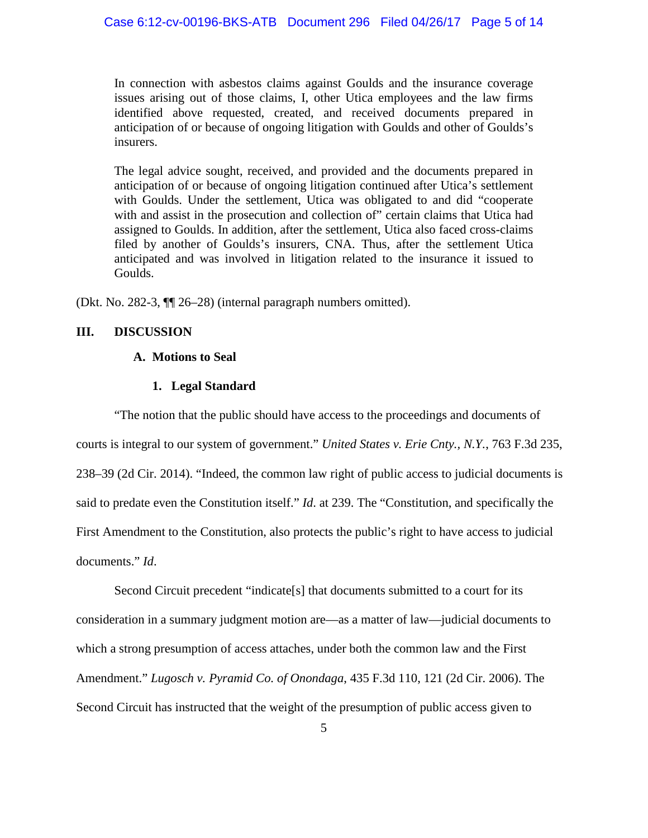In connection with asbestos claims against Goulds and the insurance coverage issues arising out of those claims, I, other Utica employees and the law firms identified above requested, created, and received documents prepared in anticipation of or because of ongoing litigation with Goulds and other of Goulds's insurers.

The legal advice sought, received, and provided and the documents prepared in anticipation of or because of ongoing litigation continued after Utica's settlement with Goulds. Under the settlement, Utica was obligated to and did "cooperate with and assist in the prosecution and collection of" certain claims that Utica had assigned to Goulds. In addition, after the settlement, Utica also faced cross-claims filed by another of Goulds's insurers, CNA. Thus, after the settlement Utica anticipated and was involved in litigation related to the insurance it issued to Goulds.

(Dkt. No. 282-3, ¶¶ 26–28) (internal paragraph numbers omitted).

## **III. DISCUSSION**

## **A. Motions to Seal**

## **1. Legal Standard**

"The notion that the public should have access to the proceedings and documents of courts is integral to our system of government." *United States v. Erie Cnty., N.Y.*, 763 F.3d 235, 238–39 (2d Cir. 2014). "Indeed, the common law right of public access to judicial documents is said to predate even the Constitution itself." *Id*. at 239. The "Constitution, and specifically the First Amendment to the Constitution, also protects the public's right to have access to judicial documents." *Id*.

Second Circuit precedent "indicate[s] that documents submitted to a court for its consideration in a summary judgment motion are—as a matter of law—judicial documents to which a strong presumption of access attaches, under both the common law and the First Amendment." *Lugosch v. Pyramid Co. of Onondaga*, 435 F.3d 110, 121 (2d Cir. 2006). The Second Circuit has instructed that the weight of the presumption of public access given to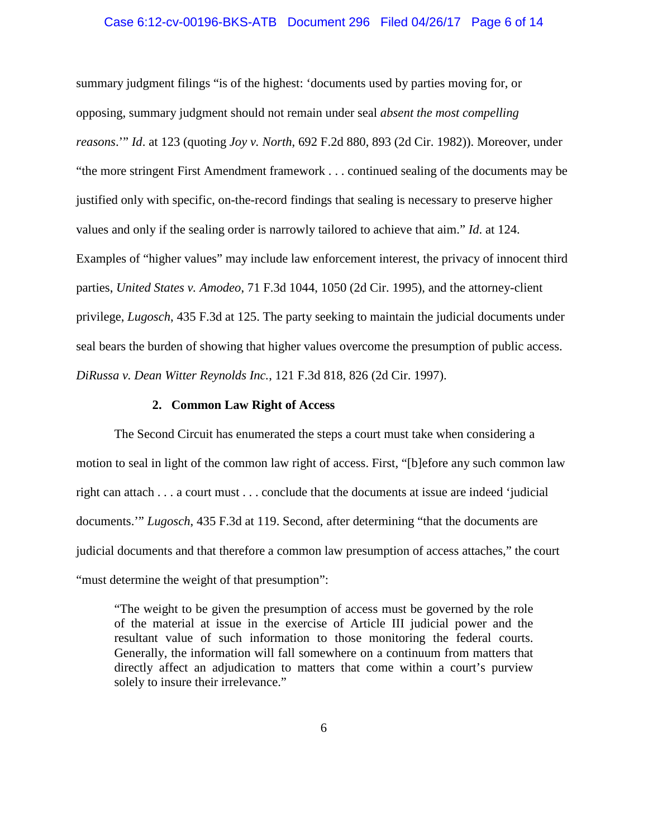#### Case 6:12-cv-00196-BKS-ATB Document 296 Filed 04/26/17 Page 6 of 14

summary judgment filings "is of the highest: 'documents used by parties moving for, or opposing, summary judgment should not remain under seal *absent the most compelling reasons*.'" *Id*. at 123 (quoting *Joy v. North*, 692 F.2d 880, 893 (2d Cir. 1982)). Moreover, under "the more stringent First Amendment framework . . . continued sealing of the documents may be justified only with specific, on-the-record findings that sealing is necessary to preserve higher values and only if the sealing order is narrowly tailored to achieve that aim." *Id*. at 124. Examples of "higher values" may include law enforcement interest, the privacy of innocent third parties, *United States v. Amodeo*, 71 F.3d 1044, 1050 (2d Cir. 1995), and the attorney-client privilege, *Lugosch*, 435 F.3d at 125. The party seeking to maintain the judicial documents under seal bears the burden of showing that higher values overcome the presumption of public access. *DiRussa v. Dean Witter Reynolds Inc.*, 121 F.3d 818, 826 (2d Cir. 1997).

#### **2. Common Law Right of Access**

The Second Circuit has enumerated the steps a court must take when considering a motion to seal in light of the common law right of access. First, "[b]efore any such common law right can attach . . . a court must . . . conclude that the documents at issue are indeed 'judicial documents.'" *Lugosch*, 435 F.3d at 119. Second, after determining "that the documents are judicial documents and that therefore a common law presumption of access attaches," the court "must determine the weight of that presumption":

"The weight to be given the presumption of access must be governed by the role of the material at issue in the exercise of Article III judicial power and the resultant value of such information to those monitoring the federal courts. Generally, the information will fall somewhere on a continuum from matters that directly affect an adjudication to matters that come within a court's purview solely to insure their irrelevance."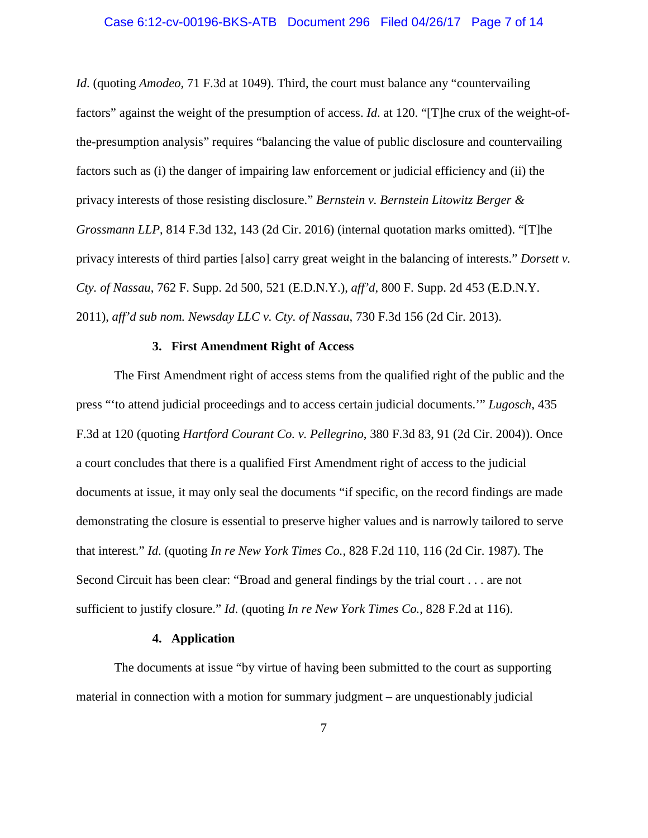#### Case 6:12-cv-00196-BKS-ATB Document 296 Filed 04/26/17 Page 7 of 14

*Id*. (quoting *Amodeo*, 71 F.3d at 1049). Third, the court must balance any "countervailing factors" against the weight of the presumption of access. *Id*. at 120. "[T]he crux of the weight-ofthe-presumption analysis" requires "balancing the value of public disclosure and countervailing factors such as (i) the danger of impairing law enforcement or judicial efficiency and (ii) the privacy interests of those resisting disclosure." *Bernstein v. Bernstein Litowitz Berger & Grossmann LLP*, 814 F.3d 132, 143 (2d Cir. 2016) (internal quotation marks omitted). "[T]he privacy interests of third parties [also] carry great weight in the balancing of interests." *Dorsett v. Cty. of Nassau*, 762 F. Supp. 2d 500, 521 (E.D.N.Y.), *aff'd*, 800 F. Supp. 2d 453 (E.D.N.Y. 2011), *aff'd sub nom. Newsday LLC v. Cty. of Nassau*, 730 F.3d 156 (2d Cir. 2013).

## **3. First Amendment Right of Access**

The First Amendment right of access stems from the qualified right of the public and the press "'to attend judicial proceedings and to access certain judicial documents.'" *Lugosch*, 435 F.3d at 120 (quoting *Hartford Courant Co. v. Pellegrino*, 380 F.3d 83, 91 (2d Cir. 2004)). Once a court concludes that there is a qualified First Amendment right of access to the judicial documents at issue, it may only seal the documents "if specific, on the record findings are made demonstrating the closure is essential to preserve higher values and is narrowly tailored to serve that interest." *Id*. (quoting *In re New York Times Co.*, 828 F.2d 110, 116 (2d Cir. 1987). The Second Circuit has been clear: "Broad and general findings by the trial court . . . are not sufficient to justify closure." *Id*. (quoting *In re New York Times Co.*, 828 F.2d at 116).

## **4. Application**

The documents at issue "by virtue of having been submitted to the court as supporting material in connection with a motion for summary judgment – are unquestionably judicial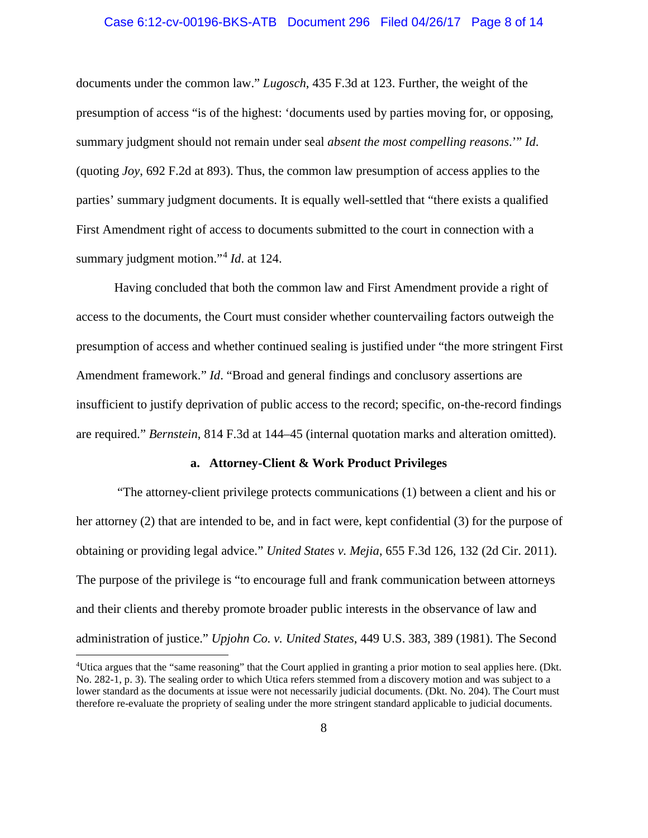#### Case 6:12-cv-00196-BKS-ATB Document 296 Filed 04/26/17 Page 8 of 14

documents under the common law." *Lugosch*, 435 F.3d at 123. Further, the weight of the presumption of access "is of the highest: 'documents used by parties moving for, or opposing, summary judgment should not remain under seal *absent the most compelling reasons*.'" *Id*. (quoting *Joy*, 692 F.2d at 893). Thus, the common law presumption of access applies to the parties' summary judgment documents. It is equally well-settled that "there exists a qualified First Amendment right of access to documents submitted to the court in connection with a summary judgment motion."<sup>4</sup> *Id*. at 124.

Having concluded that both the common law and First Amendment provide a right of access to the documents, the Court must consider whether countervailing factors outweigh the presumption of access and whether continued sealing is justified under "the more stringent First Amendment framework." *Id*. "Broad and general findings and conclusory assertions are insufficient to justify deprivation of public access to the record; specific, on-the-record findings are required." *Bernstein*, 814 F.3d at 144–45 (internal quotation marks and alteration omitted).

## **a. Attorney-Client & Work Product Privileges**

"The attorney-client privilege protects communications (1) between a client and his or her attorney (2) that are intended to be, and in fact were, kept confidential (3) for the purpose of obtaining or providing legal advice." *United States v. Mejia*, 655 F.3d 126, 132 (2d Cir. 2011). The purpose of the privilege is "to encourage full and frank communication between attorneys and their clients and thereby promote broader public interests in the observance of law and administration of justice." *Upjohn Co. v. United States*, 449 U.S. 383, 389 (1981). The Second

 $\frac{1}{4}$ Utica argues that the "same reasoning" that the Court applied in granting a prior motion to seal applies here. (Dkt. No. 282-1, p. 3). The sealing order to which Utica refers stemmed from a discovery motion and was subject to a lower standard as the documents at issue were not necessarily judicial documents. (Dkt. No. 204). The Court must therefore re-evaluate the propriety of sealing under the more stringent standard applicable to judicial documents.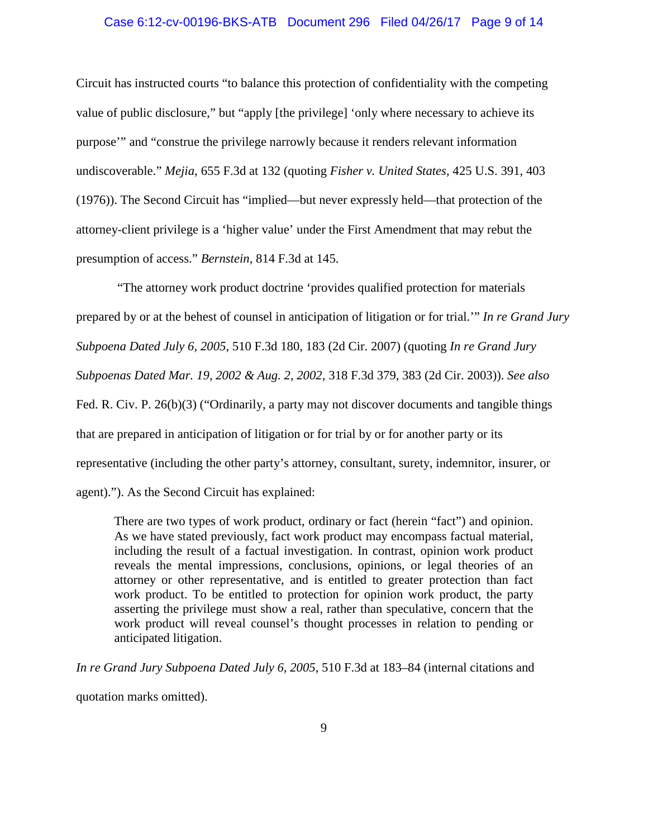### Case 6:12-cv-00196-BKS-ATB Document 296 Filed 04/26/17 Page 9 of 14

Circuit has instructed courts "to balance this protection of confidentiality with the competing value of public disclosure," but "apply [the privilege] 'only where necessary to achieve its purpose'" and "construe the privilege narrowly because it renders relevant information undiscoverable." *Mejia*, 655 F.3d at 132 (quoting *Fisher v. United States*, 425 U.S. 391, 403 (1976)). The Second Circuit has "implied—but never expressly held—that protection of the attorney-client privilege is a 'higher value' under the First Amendment that may rebut the presumption of access." *Bernstein*, 814 F.3d at 145.

"The attorney work product doctrine 'provides qualified protection for materials prepared by or at the behest of counsel in anticipation of litigation or for trial.'" *In re Grand Jury Subpoena Dated July 6, 2005*, 510 F.3d 180, 183 (2d Cir. 2007) (quoting *In re Grand Jury Subpoenas Dated Mar. 19, 2002 & Aug. 2, 2002*, 318 F.3d 379, 383 (2d Cir. 2003)). *See also*  Fed. R. Civ. P. 26(b)(3) ("Ordinarily, a party may not discover documents and tangible things that are prepared in anticipation of litigation or for trial by or for another party or its representative (including the other party's attorney, consultant, surety, indemnitor, insurer, or agent)."). As the Second Circuit has explained:

There are two types of work product, ordinary or fact (herein "fact") and opinion. As we have stated previously, fact work product may encompass factual material, including the result of a factual investigation. In contrast, opinion work product reveals the mental impressions, conclusions, opinions, or legal theories of an attorney or other representative, and is entitled to greater protection than fact work product. To be entitled to protection for opinion work product, the party asserting the privilege must show a real, rather than speculative, concern that the work product will reveal counsel's thought processes in relation to pending or anticipated litigation.

*In re Grand Jury Subpoena Dated July 6, 2005*, 510 F.3d at 183–84 (internal citations and quotation marks omitted).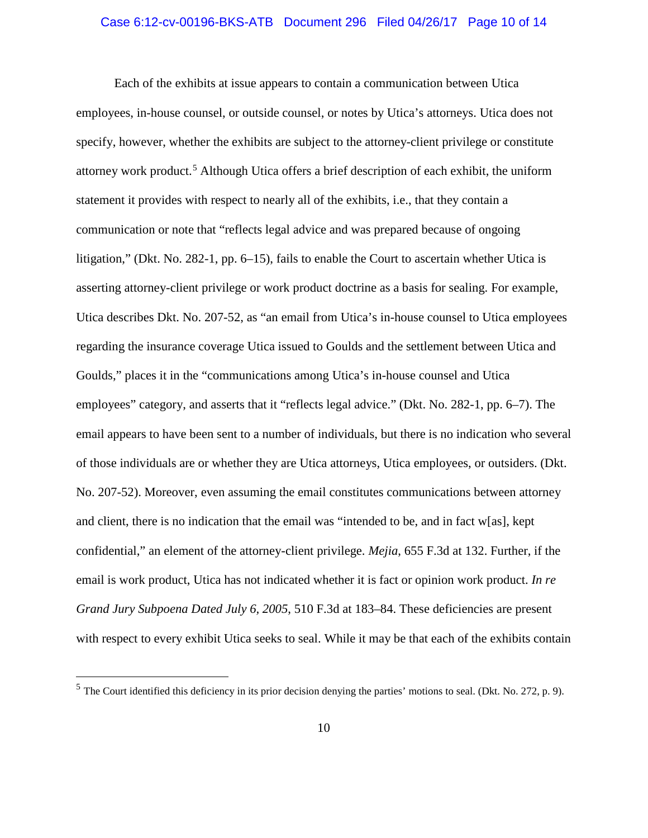#### Case 6:12-cv-00196-BKS-ATB Document 296 Filed 04/26/17 Page 10 of 14

Each of the exhibits at issue appears to contain a communication between Utica employees, in-house counsel, or outside counsel, or notes by Utica's attorneys. Utica does not specify, however, whether the exhibits are subject to the attorney-client privilege or constitute attorney work product.<sup>5</sup> Although Utica offers a brief description of each exhibit, the uniform statement it provides with respect to nearly all of the exhibits, i.e., that they contain a communication or note that "reflects legal advice and was prepared because of ongoing litigation," (Dkt. No. 282-1, pp. 6–15), fails to enable the Court to ascertain whether Utica is asserting attorney-client privilege or work product doctrine as a basis for sealing. For example, Utica describes Dkt. No. 207-52, as "an email from Utica's in-house counsel to Utica employees regarding the insurance coverage Utica issued to Goulds and the settlement between Utica and Goulds," places it in the "communications among Utica's in-house counsel and Utica employees" category, and asserts that it "reflects legal advice." (Dkt. No. 282-1, pp. 6–7). The email appears to have been sent to a number of individuals, but there is no indication who several of those individuals are or whether they are Utica attorneys, Utica employees, or outsiders. (Dkt. No. 207-52). Moreover, even assuming the email constitutes communications between attorney and client, there is no indication that the email was "intended to be, and in fact w[as], kept confidential," an element of the attorney-client privilege. *Mejia*, 655 F.3d at 132. Further, if the email is work product, Utica has not indicated whether it is fact or opinion work product. *In re Grand Jury Subpoena Dated July 6, 2005*, 510 F.3d at 183–84. These deficiencies are present with respect to every exhibit Utica seeks to seal. While it may be that each of the exhibits contain

 $<sup>5</sup>$  The Court identified this deficiency in its prior decision denying the parties' motions to seal. (Dkt. No. 272, p. 9).</sup>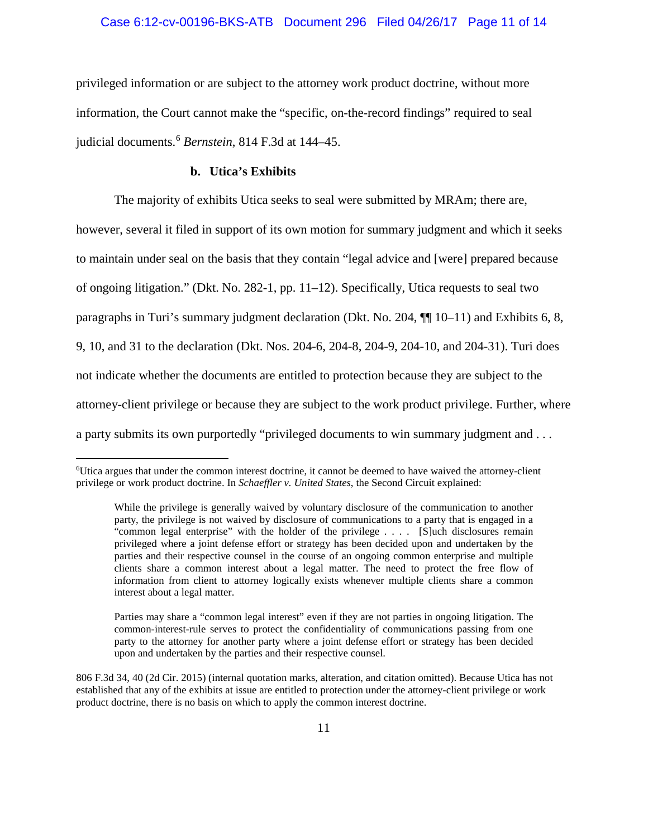#### Case 6:12-cv-00196-BKS-ATB Document 296 Filed 04/26/17 Page 11 of 14

privileged information or are subject to the attorney work product doctrine, without more information, the Court cannot make the "specific, on-the-record findings" required to seal judicial documents.<sup>6</sup> *Bernstein*, 814 F.3d at 144–45.

## **b. Utica's Exhibits**

The majority of exhibits Utica seeks to seal were submitted by MRAm; there are,

however, several it filed in support of its own motion for summary judgment and which it seeks to maintain under seal on the basis that they contain "legal advice and [were] prepared because of ongoing litigation." (Dkt. No. 282-1, pp. 11–12). Specifically, Utica requests to seal two paragraphs in Turi's summary judgment declaration (Dkt. No. 204, ¶¶ 10–11) and Exhibits 6, 8, 9, 10, and 31 to the declaration (Dkt. Nos. 204-6, 204-8, 204-9, 204-10, and 204-31). Turi does not indicate whether the documents are entitled to protection because they are subject to the attorney-client privilege or because they are subject to the work product privilege. Further, where a party submits its own purportedly "privileged documents to win summary judgment and . . .

 $\frac{1}{6}$ Utica argues that under the common interest doctrine, it cannot be deemed to have waived the attorney-client privilege or work product doctrine. In *Schaeffler v. United States*, the Second Circuit explained:

While the privilege is generally waived by voluntary disclosure of the communication to another party, the privilege is not waived by disclosure of communications to a party that is engaged in a "common legal enterprise" with the holder of the privilege . . . . [S]uch disclosures remain privileged where a joint defense effort or strategy has been decided upon and undertaken by the parties and their respective counsel in the course of an ongoing common enterprise and multiple clients share a common interest about a legal matter. The need to protect the free flow of information from client to attorney logically exists whenever multiple clients share a common interest about a legal matter.

Parties may share a "common legal interest" even if they are not parties in ongoing litigation. The common-interest-rule serves to protect the confidentiality of communications passing from one party to the attorney for another party where a joint defense effort or strategy has been decided upon and undertaken by the parties and their respective counsel.

<sup>806</sup> F.3d 34, 40 (2d Cir. 2015) (internal quotation marks, alteration, and citation omitted). Because Utica has not established that any of the exhibits at issue are entitled to protection under the attorney-client privilege or work product doctrine, there is no basis on which to apply the common interest doctrine.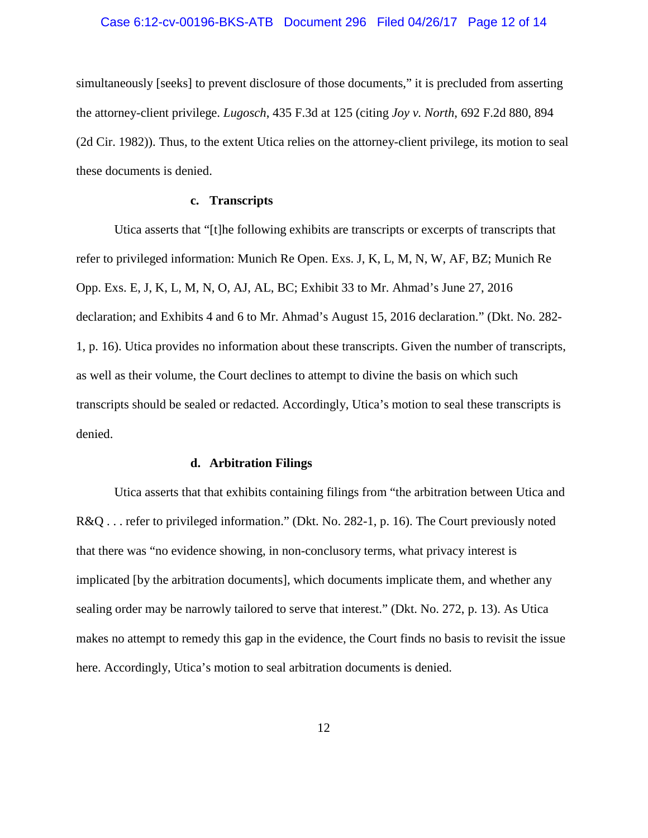#### Case 6:12-cv-00196-BKS-ATB Document 296 Filed 04/26/17 Page 12 of 14

simultaneously [seeks] to prevent disclosure of those documents," it is precluded from asserting the attorney-client privilege. *Lugosch*, 435 F.3d at 125 (citing *Joy v. North*, 692 F.2d 880, 894 (2d Cir. 1982)). Thus, to the extent Utica relies on the attorney-client privilege, its motion to seal these documents is denied.

## **c. Transcripts**

Utica asserts that "[t]he following exhibits are transcripts or excerpts of transcripts that refer to privileged information: Munich Re Open. Exs. J, K, L, M, N, W, AF, BZ; Munich Re Opp. Exs. E, J, K, L, M, N, O, AJ, AL, BC; Exhibit 33 to Mr. Ahmad's June 27, 2016 declaration; and Exhibits 4 and 6 to Mr. Ahmad's August 15, 2016 declaration." (Dkt. No. 282- 1, p. 16). Utica provides no information about these transcripts. Given the number of transcripts, as well as their volume, the Court declines to attempt to divine the basis on which such transcripts should be sealed or redacted. Accordingly, Utica's motion to seal these transcripts is denied.

## **d. Arbitration Filings**

Utica asserts that that exhibits containing filings from "the arbitration between Utica and R&Q . . . refer to privileged information." (Dkt. No. 282-1, p. 16). The Court previously noted that there was "no evidence showing, in non-conclusory terms, what privacy interest is implicated [by the arbitration documents], which documents implicate them, and whether any sealing order may be narrowly tailored to serve that interest." (Dkt. No. 272, p. 13). As Utica makes no attempt to remedy this gap in the evidence, the Court finds no basis to revisit the issue here. Accordingly, Utica's motion to seal arbitration documents is denied.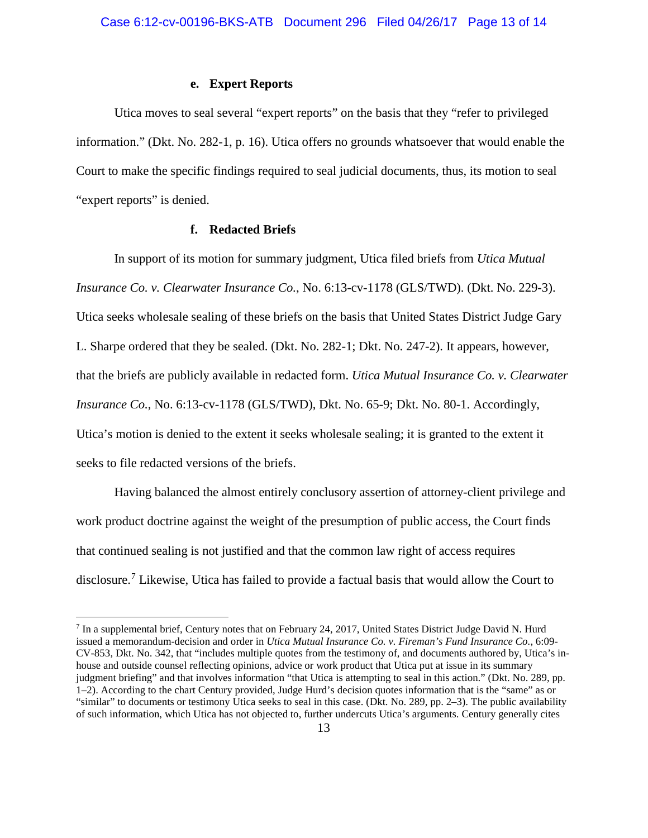## **e. Expert Reports**

Utica moves to seal several "expert reports" on the basis that they "refer to privileged information." (Dkt. No. 282-1, p. 16). Utica offers no grounds whatsoever that would enable the Court to make the specific findings required to seal judicial documents, thus, its motion to seal "expert reports" is denied.

## **f. Redacted Briefs**

In support of its motion for summary judgment, Utica filed briefs from *Utica Mutual Insurance Co. v. Clearwater Insurance Co.*, No. 6:13-cv-1178 (GLS/TWD). (Dkt. No. 229-3). Utica seeks wholesale sealing of these briefs on the basis that United States District Judge Gary L. Sharpe ordered that they be sealed. (Dkt. No. 282-1; Dkt. No. 247-2). It appears, however, that the briefs are publicly available in redacted form. *Utica Mutual Insurance Co. v. Clearwater Insurance Co.*, No. 6:13-cv-1178 (GLS/TWD), Dkt. No. 65-9; Dkt. No. 80-1. Accordingly, Utica's motion is denied to the extent it seeks wholesale sealing; it is granted to the extent it seeks to file redacted versions of the briefs.

Having balanced the almost entirely conclusory assertion of attorney-client privilege and work product doctrine against the weight of the presumption of public access, the Court finds that continued sealing is not justified and that the common law right of access requires disclosure.<sup>7</sup> Likewise, Utica has failed to provide a factual basis that would allow the Court to

 <sup>7</sup> In a supplemental brief, Century notes that on February 24, 2017, United States District Judge David N. Hurd issued a memorandum-decision and order in *Utica Mutual Insurance Co. v. Fireman's Fund Insurance Co.*, 6:09- CV-853, Dkt. No. 342, that "includes multiple quotes from the testimony of, and documents authored by, Utica's inhouse and outside counsel reflecting opinions, advice or work product that Utica put at issue in its summary judgment briefing" and that involves information "that Utica is attempting to seal in this action." (Dkt. No. 289, pp. 1–2). According to the chart Century provided, Judge Hurd's decision quotes information that is the "same" as or "similar" to documents or testimony Utica seeks to seal in this case. (Dkt. No. 289, pp. 2–3). The public availability of such information, which Utica has not objected to, further undercuts Utica's arguments. Century generally cites